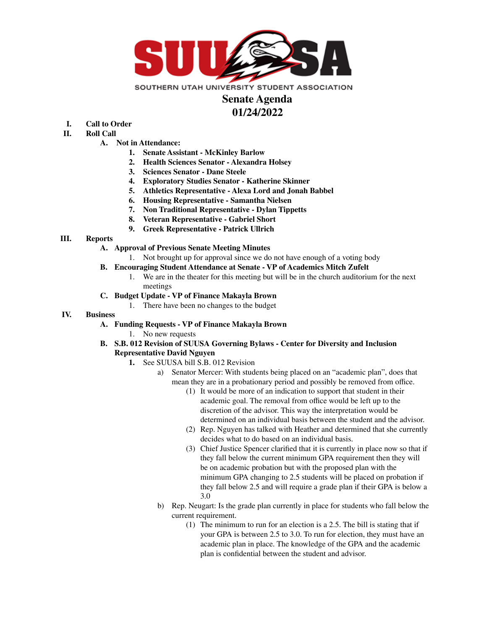

# **Senate Agenda**

## **01/24/2022**

- **I. Call to Order**
- **II. Roll Call**
	- **A. Not in Attendance:**
		- **1. Senate Assistant - McKinley Barlow**
		- **2. Health Sciences Senator - Alexandra Holsey**
		- **3. Sciences Senator - Dane Steele**
		- **4. Exploratory Studies Senator - Katherine Skinner**
		- **5. Athletics Representative - Alexa Lord and Jonah Babbel**
		- **6. Housing Representative - Samantha Nielsen**
		- **7. Non Traditional Representative - Dylan Tippetts**
		- **8. Veteran Representative - Gabriel Short**
		- **9. Greek Representative - Patrick Ullrich**

#### **III. Reports**

- **A. Approval of Previous Senate Meeting Minutes**
	- 1. Not brought up for approval since we do not have enough of a voting body
- **B. Encouraging Student Attendance at Senate - VP of Academics Mitch Zufelt**
	- 1. We are in the theater for this meeting but will be in the church auditorium for the next meetings
- **C. Budget Update - VP of Finance Makayla Brown**
	- 1. There have been no changes to the budget

### **IV. Business**

- **A. Funding Requests - VP of Finance Makayla Brown**
	- 1. No new requests
- **B. S.B. 012 Revision of SUUSA Governing Bylaws - Center for Diversity and Inclusion Representative David Nguyen**
	- **1.** See SUUSA bill S.B. 012 Revision
		- a) Senator Mercer: With students being placed on an "academic plan", does that mean they are in a probationary period and possibly be removed from office.
			- (1) It would be more of an indication to support that student in their academic goal. The removal from office would be left up to the discretion of the advisor. This way the interpretation would be determined on an individual basis between the student and the advisor.
			- (2) Rep. Nguyen has talked with Heather and determined that she currently decides what to do based on an individual basis.
			- (3) Chief Justice Spencer clarified that it is currently in place now so that if they fall below the current minimum GPA requirement then they will be on academic probation but with the proposed plan with the minimum GPA changing to 2.5 students will be placed on probation if they fall below 2.5 and will require a grade plan if their GPA is below a 3.0
		- b) Rep. Neugart: Is the grade plan currently in place for students who fall below the current requirement.
			- (1) The minimum to run for an election is a 2.5. The bill is stating that if your GPA is between 2.5 to 3.0. To run for election, they must have an academic plan in place. The knowledge of the GPA and the academic plan is confidential between the student and advisor.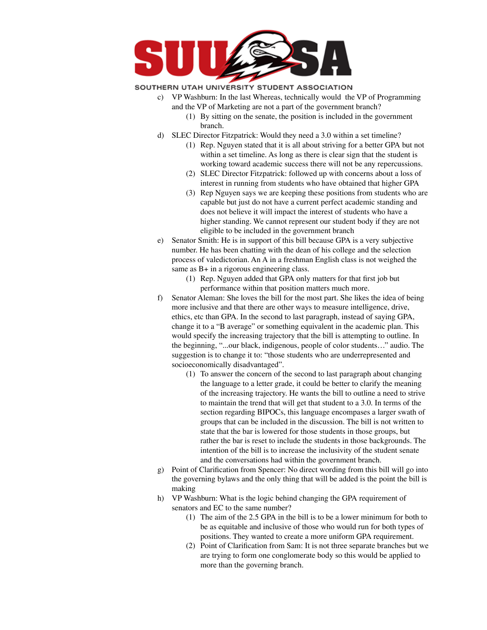

#### SOUTHERN UTAH UNIVERSITY STUDENT ASSOCIATION

- c) VP Washburn: In the last Whereas, technically would the VP of Programming and the VP of Marketing are not a part of the government branch?
	- (1) By sitting on the senate, the position is included in the government branch.
- d) SLEC Director Fitzpatrick: Would they need a 3.0 within a set timeline?
	- (1) Rep. Nguyen stated that it is all about striving for a better GPA but not within a set timeline. As long as there is clear sign that the student is working toward academic success there will not be any repercussions.
	- (2) SLEC Director Fitzpatrick: followed up with concerns about a loss of interest in running from students who have obtained that higher GPA
	- (3) Rep Nguyen says we are keeping these positions from students who are capable but just do not have a current perfect academic standing and does not believe it will impact the interest of students who have a higher standing. We cannot represent our student body if they are not eligible to be included in the government branch
- e) Senator Smith: He is in support of this bill because GPA is a very subjective number. He has been chatting with the dean of his college and the selection process of valedictorian. An A in a freshman English class is not weighed the same as B+ in a rigorous engineering class.
	- (1) Rep. Nguyen added that GPA only matters for that first job but performance within that position matters much more.
- f) Senator Aleman: She loves the bill for the most part. She likes the idea of being more inclusive and that there are other ways to measure intelligence, drive, ethics, etc than GPA. In the second to last paragraph, instead of saying GPA, change it to a "B average" or something equivalent in the academic plan. This would specify the increasing trajectory that the bill is attempting to outline. In the beginning, "...our black, indigenous, people of color students…" audio. The suggestion is to change it to: "those students who are underrepresented and socioeconomically disadvantaged".
	- (1) To answer the concern of the second to last paragraph about changing the language to a letter grade, it could be better to clarify the meaning of the increasing trajectory. He wants the bill to outline a need to strive to maintain the trend that will get that student to a 3.0. In terms of the section regarding BIPOCs, this language encompases a larger swath of groups that can be included in the discussion. The bill is not written to state that the bar is lowered for those students in those groups, but rather the bar is reset to include the students in those backgrounds. The intention of the bill is to increase the inclusivity of the student senate and the conversations had within the government branch.
- g) Point of Clarification from Spencer: No direct wording from this bill will go into the governing bylaws and the only thing that will be added is the point the bill is making
- h) VP Washburn: What is the logic behind changing the GPA requirement of senators and EC to the same number?
	- (1) The aim of the 2.5 GPA in the bill is to be a lower minimum for both to be as equitable and inclusive of those who would run for both types of positions. They wanted to create a more uniform GPA requirement.
	- (2) Point of Clarification from Sam: It is not three separate branches but we are trying to form one conglomerate body so this would be applied to more than the governing branch.